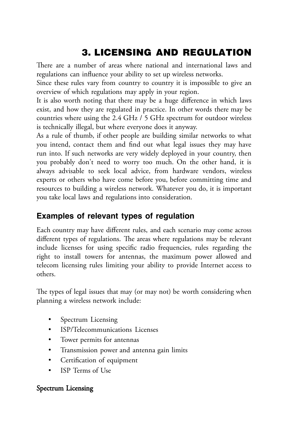# 3. LICENSING AND REGULATION

There are a number of areas where national and international laws and regulations can influence your ability to set up wireless networks.

Since these rules vary from country to country it is impossible to give an overview of which regulations may apply in your region.

It is also worth noting that there may be a huge difference in which laws exist, and how they are regulated in practice. In other words there may be countries where using the 2.4 GHz / 5 GHz spectrum for outdoor wireless is technically illegal, but where everyone does it anyway.

As a rule of thumb, if other people are building similar networks to what you intend, contact them and find out what legal issues they may have run into. If such networks are very widely deployed in your country, then you probably don't need to worry too much. On the other hand, it is always advisable to seek local advice, from hardware vendors, wireless experts or others who have come before you, before committing time and resources to building a wireless network. Whatever you do, it is important you take local laws and regulations into consideration.

## **Examples of relevant types of regulation**

Each country may have different rules, and each scenario may come across different types of regulations. The areas where regulations may be relevant include licenses for using specific radio frequencies, rules regarding the right to install towers for antennas, the maximum power allowed and telecom licensing rules limiting your ability to provide Internet access to others.

The types of legal issues that may (or may not) be worth considering when planning a wireless network include:

- Spectrum Licensing
- ISP/Telecommunications Licenses
- Tower permits for antennas
- Transmission power and antenna gain limits
- Certification of equipment
- ISP Terms of Use

### Spectrum Licensing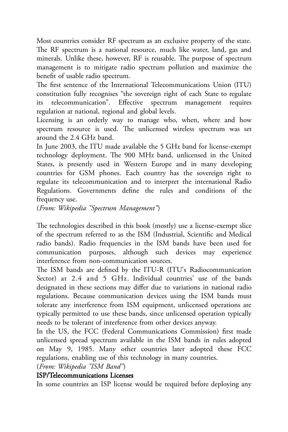Most countries consider RF spectrum as an exclusive property of the state. The RF spectrum is a national resource, much like water, land, gas and minerals. Unlike these, however, RF is reusable. The purpose of spectrum management is to mitigate radio spectrum pollution and maximize the benefit of usable radio spectrum.

The first sentence of the International Telecommunications Union (ITU) constitution fully recognises "the sovereign right of each State to regulate telecommunication". Effective spectrum management requires regulation at national, regional and global levels.

Licensing is an orderly way to manage who, when, where and how spectrum resource is used. The unlicensed wireless spectrum was set around the 2.4 GHz band.

In June 2003, the ITU made available the 5 GHz band for license-exempt technology deployment. The 900 MHz band, unlicensed in the United States, is presently used in Western Europe and in many developing countries for GSM phones. Each country has the sovereign right to regulate its telecommunication and to interpret the international Radio Regulations. Governments define the rules and conditions of the frequency use.

(*From: Wikipedia "Spectrum Management"*)

The technologies described in this book (mostly) use a license-exempt slice of the spectrum referred to as the ISM (Industrial, Scientific and Medical radio bands). Radio frequencies in the ISM bands have been used for communication purposes, although such devices may experience interference from non-communication sources.

The ISM bands are defined by the ITU-R (ITU's Radiocommunication Sector) at 2.4 and 5 GHz. Individual countries' use of the bands designated in these sections may differ due to variations in national radio regulations. Because communication devices using the ISM bands must tolerate any interference from ISM equipment, unlicensed operations are typically permitted to use these bands, since unlicensed operation typically needs to be tolerant of interference from other devices anyway.

In the US, the FCC (Federal Communications Commission) first made unlicensed spread spectrum available in the ISM bands in rules adopted on May 9, 1985. Many other countries later adopted these FCC regulations, enabling use of this technology in many countries.

(*From: Wikipedia "ISM Band"*) ISP/Telecommunications Licenses

In some countries an ISP license would be required before deploying any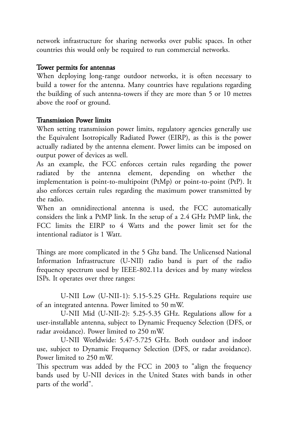network infrastructure for sharing networks over public spaces. In other countries this would only be required to run commercial networks.

#### Tower permits for antennas

When deploying long-range outdoor networks, it is often necessary to build a tower for the antenna. Many countries have regulations regarding the building of such antenna-towers if they are more than 5 or 10 metres above the roof or ground.

#### Transmission Power limits

When setting transmission power limits, regulatory agencies generally use the Equivalent Isotropically Radiated Power (EIRP), as this is the power actually radiated by the antenna element. Power limits can be imposed on output power of devices as well.

As an example, the FCC enforces certain rules regarding the power radiated by the antenna element, depending on whether the implementation is point-to-multipoint (PtMp) or point-to-point (PtP). It also enforces certain rules regarding the maximum power transmitted by the radio.

When an omnidirectional antenna is used, the FCC automatically considers the link a PtMP link. In the setup of a 2.4 GHz PtMP link, the FCC limits the EIRP to 4 Watts and the power limit set for the intentional radiator is 1 Watt.

Things are more complicated in the 5 Ghz band. The Unlicensed National Information Infrastructure (U-NII) radio band is part of the radio frequency spectrum used by IEEE-802.11a devices and by many wireless ISPs. It operates over three ranges:

U-NII Low (U-NII-1): 5.15-5.25 GHz. Regulations require use of an integrated antenna. Power limited to 50 mW.

U-NII Mid (U-NII-2): 5.25-5.35 GHz. Regulations allow for a user-installable antenna, subject to Dynamic Frequency Selection (DFS, or radar avoidance). Power limited to 250 mW.

U-NII Worldwide: 5.47-5.725 GHz. Both outdoor and indoor use, subject to Dynamic Frequency Selection (DFS, or radar avoidance). Power limited to 250 mW.

This spectrum was added by the FCC in 2003 to "align the frequency bands used by U-NII devices in the United States with bands in other parts of the world".